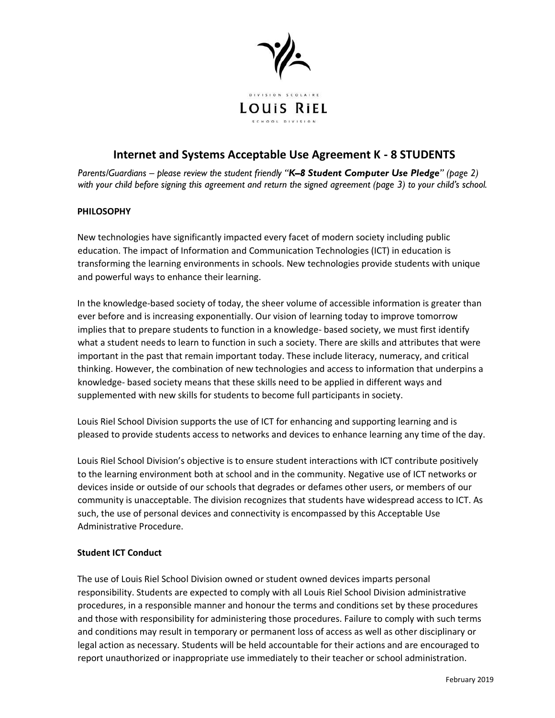

## **Internet and Systems Acceptable Use Agreement K - 8 STUDENTS**

*Parents/Guardians – please review the student friendly "K–8 Student Computer Use Pledge" (page 2) with your child before signing this agreement and return the signed agreement (page 3) to your child's school.*

### **PHILOSOPHY**

New technologies have significantly impacted every facet of modern society including public education. The impact of Information and Communication Technologies (ICT) in education is transforming the learning environments in schools. New technologies provide students with unique and powerful ways to enhance their learning.

In the knowledge-based society of today, the sheer volume of accessible information is greater than ever before and is increasing exponentially. Our vision of learning today to improve tomorrow implies that to prepare students to function in a knowledge- based society, we must first identify what a student needs to learn to function in such a society. There are skills and attributes that were important in the past that remain important today. These include literacy, numeracy, and critical thinking. However, the combination of new technologies and access to information that underpins a knowledge- based society means that these skills need to be applied in different ways and supplemented with new skills for students to become full participants in society.

Louis Riel School Division supports the use of ICT for enhancing and supporting learning and is pleased to provide students access to networks and devices to enhance learning any time of the day.

Louis Riel School Division's objective is to ensure student interactions with ICT contribute positively to the learning environment both at school and in the community. Negative use of ICT networks or devices inside or outside of our schools that degrades or defames other users, or members of our community is unacceptable. The division recognizes that students have widespread access to ICT. As such, the use of personal devices and connectivity is encompassed by this Acceptable Use Administrative Procedure.

### **Student ICT Conduct**

The use of Louis Riel School Division owned or student owned devices imparts personal responsibility. Students are expected to comply with all Louis Riel School Division administrative procedures, in a responsible manner and honour the terms and conditions set by these procedures and those with responsibility for administering those procedures. Failure to comply with such terms and conditions may result in temporary or permanent loss of access as well as other disciplinary or legal action as necessary. Students will be held accountable for their actions and are encouraged to report unauthorized or inappropriate use immediately to their teacher or school administration.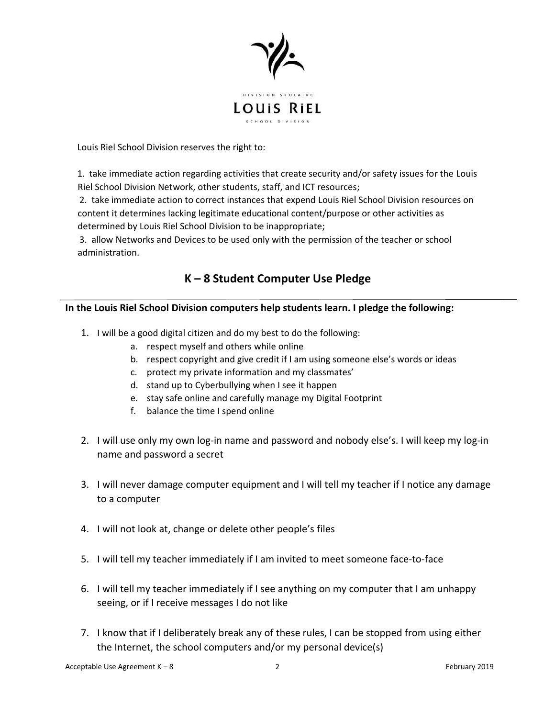

Louis Riel School Division reserves the right to:

1. take immediate action regarding activities that create security and/or safety issues for the Louis Riel School Division Network, other students, staff, and ICT resources;

2. take immediate action to correct instances that expend Louis Riel School Division resources on content it determines lacking legitimate educational content/purpose or other activities as determined by Louis Riel School Division to be inappropriate;

3. allow Networks and Devices to be used only with the permission of the teacher or school administration.

# **K – 8 Student Computer Use Pledge**

### **In the Louis Riel School Division computers help students learn. I pledge the following:**

- 1. I will be a good digital citizen and do my best to do the following:
	- a. respect myself and others while online
	- b. respect copyright and give credit if I am using someone else's words or ideas
	- c. protect my private information and my classmates'
	- d. stand up to Cyberbullying when I see it happen
	- e. stay safe online and carefully manage my Digital Footprint
	- f. balance the time I spend online
- 2. I will use only my own log-in name and password and nobody else's. I will keep my log-in name and password a secret
- 3. I will never damage computer equipment and I will tell my teacher if I notice any damage to a computer
- 4. I will not look at, change or delete other people's files
- 5. I will tell my teacher immediately if I am invited to meet someone face-to-face
- 6. I will tell my teacher immediately if I see anything on my computer that I am unhappy seeing, or if I receive messages I do not like
- 7. I know that if I deliberately break any of these rules, I can be stopped from using either the Internet, the school computers and/or my personal device(s)